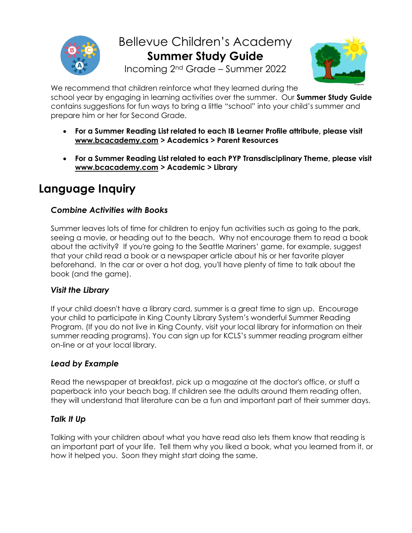

Bellevue Children's Academy **Summer Study Guide** Incoming 2nd Grade – Summer 2022



We recommend that children reinforce what they learned during the school year by engaging in learning activities over the summer. Our **Summer Study Guide** contains suggestions for fun ways to bring a little "school" into your child's summer and prepare him or her for Second Grade.

- **For a Summer Reading List related to each IB Learner Profile attribute, please visit [www.bcacademy.com](http://www.bcacademy.com/) > Academics > Parent Resources**
- **For a Summer Reading List related to each PYP Transdisciplinary Theme, please visit [www.bcacademy.com](http://www.bcacademy.com/) > Academic > Library**

# **Language Inquiry**

# *Combine Activities with Books*

Summer leaves lots of time for children to enjoy fun activities such as going to the park, seeing a movie, or heading out to the beach. Why not encourage them to read a book about the activity? If you're going to the Seattle Mariners' game, for example, suggest that your child read a book or a newspaper article about his or her favorite player beforehand. In the car or over a hot dog, you'll have plenty of time to talk about the book (and the game).

## *Visit the Library*

If your child doesn't have a library card, summer is a great time to sign up. Encourage your child to participate in King County Library System's wonderful Summer Reading Program. (If you do not live in King County, visit your local library for information on their summer reading programs). You can sign up for KCLS's summer reading program either on-line or at your local library.

# *Lead by Example*

Read the newspaper at breakfast, pick up a magazine at the doctor's office, or stuff a paperback into your beach bag. If children see the adults around them reading often, they will understand that literature can be a fun and important part of their summer days.

# *Talk It Up*

Talking with your children about what you have read also lets them know that reading is an important part of your life. Tell them why you liked a book, what you learned from it, or how it helped you. Soon they might start doing the same.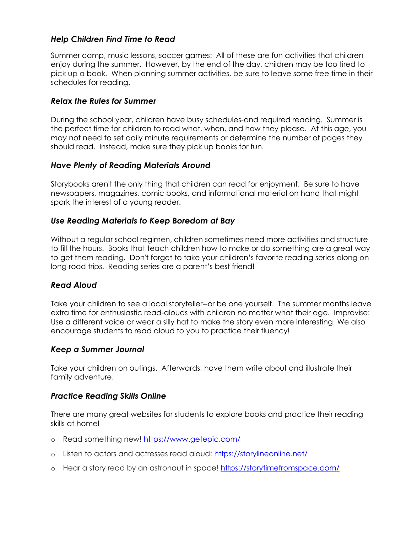## *Help Children Find Time to Read*

Summer camp, music lessons, soccer games: All of these are fun activities that children enjoy during the summer. However, by the end of the day, children may be too tired to pick up a book. When planning summer activities, be sure to leave some free time in their schedules for reading.

## *Relax the Rules for Summer*

During the school year, children have busy schedules-and required reading. Summer is the perfect time for children to read what, when, and how they please. At this age, you *may* not need to set daily minute requirements or determine the number of pages they should read. Instead, make sure they pick up books for fun.

## *Have Plenty of Reading Materials Around*

Storybooks aren't the only thing that children can read for enjoyment. Be sure to have newspapers, magazines, comic books, and informational material on hand that might spark the interest of a young reader.

## *Use Reading Materials to Keep Boredom at Bay*

Without a regular school regimen, children sometimes need more activities and structure to fill the hours. Books that teach children how to make or do something are a great way to get them reading. Don't forget to take your children's favorite reading series along on long road trips. Reading series are a parent's best friend!

## *Read Aloud*

Take your children to see a local storyteller--or be one yourself. The summer months leave extra time for enthusiastic read-alouds with children no matter what their age. Improvise: Use a different voice or wear a silly hat to make the story even more interesting. We also encourage students to read aloud to you to practice their fluency!

## *Keep a Summer Journal*

Take your children on outings. Afterwards, have them write about and illustrate their family adventure.

## *Practice Reading Skills Online*

There are many great websites for students to explore books and practice their reading skills at home!

- o Read something new!<https://www.getepic.com/>
- o Listen to actors and actresses read aloud:<https://storylineonline.net/>
- o Hear a story read by an astronaut in space!<https://storytimefromspace.com/>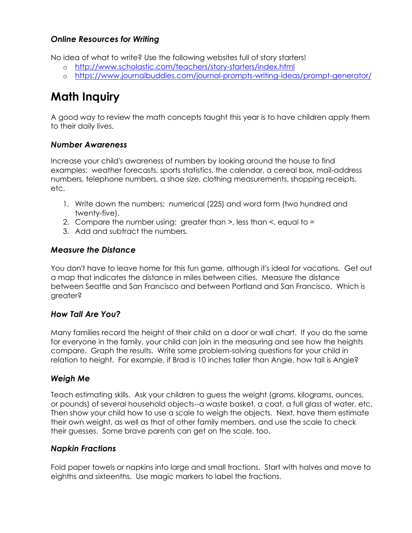## *Online Resources for Writing*

No idea of what to write? Use the following websites full of story starters!

- o <http://www.scholastic.com/teachers/story-starters/index.html>
- o <https://www.journalbuddies.com/journal-prompts-writing-ideas/prompt-generator/>

# **Math Inquiry**

A good way to review the math concepts taught this year is to have children apply them to their daily lives.

#### *Number Awareness*

Increase your child's awareness of numbers by looking around the house to find examples: weather forecasts, sports statistics, the calendar, a cereal box, mail-address numbers, telephone numbers, a shoe size, clothing measurements, shopping receipts, etc.

- 1. Write down the numbers: numerical (225) and word form (two hundred and twenty-five).
- 2. Compare the number using: greater than >, less than <, equal to =
- 3. Add and subtract the numbers.

#### *Measure the Distance*

You don't have to leave home for this fun game, although it's ideal for vacations. Get out a map that indicates the distance in miles between cities. Measure the distance between Seattle and San Francisco and between Portland and San Francisco. Which is greater?

#### *How Tall Are You?*

Many families record the height of their child on a door or wall chart. If you do the same for everyone in the family, your child can join in the measuring and see how the heights compare. Graph the results. Write some problem-solving questions for your child in relation to height. For example, if Brad is 10 inches taller than Angie, how tall is Angie?

## *Weigh Me*

Teach estimating skills. Ask your children to guess the weight (grams, kilograms, ounces, or pounds) of several household objects--a waste basket, a coat, a full glass of water, etc. Then show your child how to use a scale to weigh the objects. Next, have them estimate their own weight, as well as that of other family members, and use the scale to check their guesses. Some brave parents can get on the scale, too.

#### *Napkin Fractions*

Fold paper towels or napkins into large and small fractions. Start with halves and move to eighths and sixteenths. Use magic markers to label the fractions.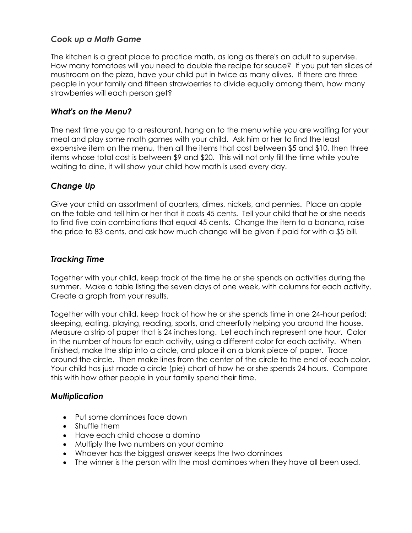### *Cook up a Math Game*

The kitchen is a great place to practice math, as long as there's an adult to supervise. How many tomatoes will you need to double the recipe for sauce? If you put ten slices of mushroom on the pizza, have your child put in twice as many olives. If there are three people in your family and fifteen strawberries to divide equally among them, how many strawberries will each person get?

#### *What's on the Menu?*

The next time you go to a restaurant, hang on to the menu while you are waiting for your meal and play some math games with your child. Ask him or her to find the least expensive item on the menu, then all the items that cost between \$5 and \$10, then three items whose total cost is between \$9 and \$20. This will not only fill the time while you're waiting to dine, it will show your child how math is used every day.

## *Change Up*

Give your child an assortment of quarters, dimes, nickels, and pennies. Place an apple on the table and tell him or her that it costs 45 cents. Tell your child that he or she needs to find five coin combinations that equal 45 cents. Change the item to a banana, raise the price to 83 cents, and ask how much change will be given if paid for with a \$5 bill.

#### *Tracking Time*

Together with your child, keep track of the time he or she spends on activities during the summer. Make a table listing the seven days of one week, with columns for each activity. Create a graph from your results.

Together with your child, keep track of how he or she spends time in one 24-hour period: sleeping, eating, playing, reading, sports, and cheerfully helping you around the house. Measure a strip of paper that is 24 inches long. Let each inch represent one hour. Color in the number of hours for each activity, using a different color for each activity. When finished, make the strip into a circle, and place it on a blank piece of paper. Trace around the circle. Then make lines from the center of the circle to the end of each color. Your child has just made a circle (pie) chart of how he or she spends 24 hours. Compare this with how other people in your family spend their time.

#### *Multiplication*

- Put some dominoes face down
- Shuffle them
- Have each child choose a domino
- Multiply the two numbers on your domino
- Whoever has the biggest answer keeps the two dominoes
- The winner is the person with the most dominoes when they have all been used.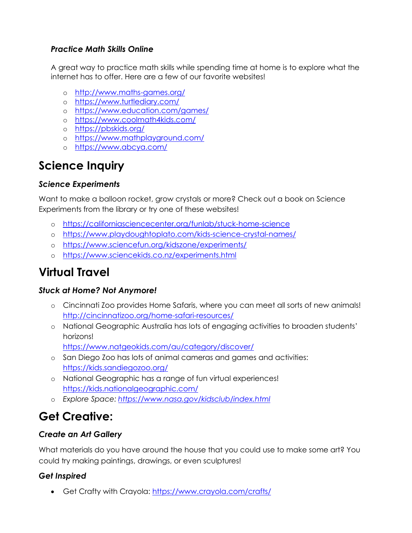# *Practice Math Skills Online*

A great way to practice math skills while spending time at home is to explore what the internet has to offer. Here are a few of our favorite websites!

- o <http://www.maths-games.org/>
- o <https://www.turtlediary.com/>
- o <https://www.education.com/games/>
- o <https://www.coolmath4kids.com/>
- o <https://pbskids.org/>
- o <https://www.mathplayground.com/>
- o <https://www.abcya.com/>

# **Science Inquiry**

# *Science Experiments*

Want to make a balloon rocket, grow crystals or more? Check out a book on Science Experiments from the library or try one of these websites!

- o <https://californiasciencecenter.org/funlab/stuck-home-science>
- o <https://www.playdoughtoplato.com/kids-science-crystal-names/>
- o <https://www.sciencefun.org/kidszone/experiments/>
- o <https://www.sciencekids.co.nz/experiments.html>

# **Virtual Travel**

# *Stuck at Home? Not Anymore!*

- o Cincinnati Zoo provides Home Safaris, where you can meet all sorts of new animals! <http://cincinnatizoo.org/home-safari-resources/>
- o National Geographic Australia has lots of engaging activities to broaden students' horizons!

<https://www.natgeokids.com/au/category/discover/>

- o San Diego Zoo has lots of animal cameras and games and activities: <https://kids.sandiegozoo.org/>
- o National Geographic has a range of fun virtual experiences! <https://kids.nationalgeographic.com/>
- o *Explore Space: <https://www.nasa.gov/kidsclub/index.html>*

# **Get Creative:**

# *Create an Art Gallery*

What materials do you have around the house that you could use to make some art? You could try making paintings, drawings, or even sculptures!

# *Get Inspired*

• Get Crafty with Crayola:<https://www.crayola.com/crafts/>